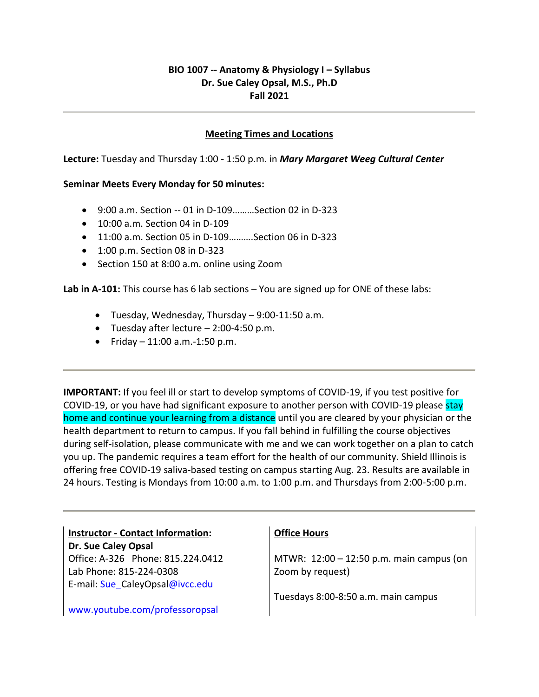# **BIO 1007 -- Anatomy & Physiology I – Syllabus Dr. Sue Caley Opsal, M.S., Ph.D Fall 2021**

## **Meeting Times and Locations**

**Lecture:** Tuesday and Thursday 1:00 - 1:50 p.m. in *Mary Margaret Weeg Cultural Center*

#### **Seminar Meets Every Monday for 50 minutes:**

- 9:00 a.m. Section -- 01 in D-109………Section 02 in D-323
- 10:00 a.m. Section 04 in D-109
- 11:00 a.m. Section 05 in D-109……….Section 06 in D-323
- $\bullet$  1:00 p.m. Section 08 in D-323
- Section 150 at 8:00 a.m. online using Zoom

**Lab in A-101:** This course has 6 lab sections – You are signed up for ONE of these labs:

- Tuesday, Wednesday, Thursday 9:00-11:50 a.m.
- $\bullet$  Tuesday after lecture  $-2:00-4:50$  p.m.
- Friday  $-11:00$  a.m.-1:50 p.m.

**IMPORTANT:** If you feel ill or start to develop symptoms of COVID-19, if you test positive for COVID-19, or you have had significant exposure to another person with COVID-19 please stay home and continue your learning from a distance until you are cleared by your physician or the health department to return to campus. If you fall behind in fulfilling the course objectives during self-isolation, please communicate with me and we can work together on a plan to catch you up. The pandemic requires a team effort for the health of our community. Shield Illinois is offering free COVID-19 saliva-based testing on campus starting Aug. 23. Results are available in 24 hours. Testing is Mondays from 10:00 a.m. to 1:00 p.m. and Thursdays from 2:00-5:00 p.m.

| <b>Instructor - Contact Information:</b> | <b>Office Hours</b>                      |
|------------------------------------------|------------------------------------------|
| Dr. Sue Caley Opsal                      |                                          |
| Office: A-326 Phone: 815.224.0412        | MTWR: 12:00 - 12:50 p.m. main campus (on |
| Lab Phone: 815-224-0308                  | Zoom by request)                         |
| E-mail: Sue CaleyOpsal@ivcc.edu          |                                          |
|                                          | Tuesdays 8:00-8:50 a.m. main campus      |
| www.youtube.com/professoropsal           |                                          |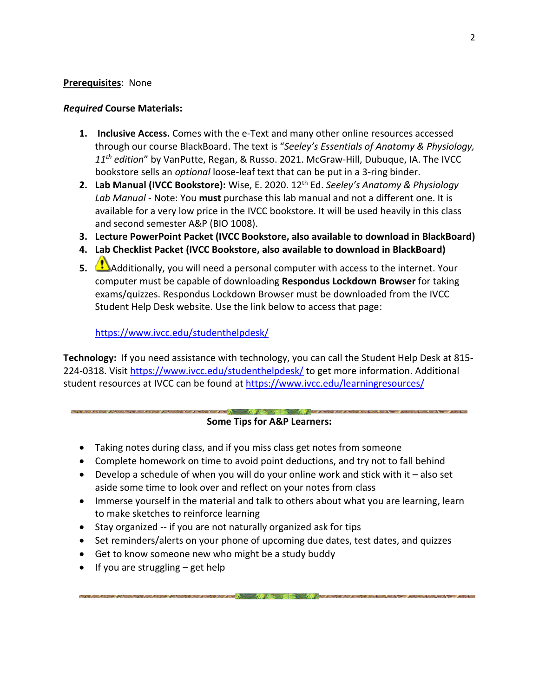### **Prerequisites**: None

#### *Required* **Course Materials:**

- **1. Inclusive Access.** Comes with the e-Text and many other online resources accessed through our course BlackBoard. The text is "*Seeley's Essentials of Anatomy & Physiology, 11 th edition*" by VanPutte, Regan, & Russo. 2021. McGraw-Hill, Dubuque, IA. The IVCC bookstore sells an *optional* loose-leaf text that can be put in a 3-ring binder.
- **2. Lab Manual (IVCC Bookstore):** Wise, E. 2020. 12th Ed. *Seeley's Anatomy & Physiology Lab Manual -* Note: You **must** purchase this lab manual and not a different one. It is available for a very low price in the IVCC bookstore. It will be used heavily in this class and second semester A&P (BIO 1008).
- **3. Lecture PowerPoint Packet (IVCC Bookstore, also available to download in BlackBoard)**
- **4. Lab Checklist Packet (IVCC Bookstore, also available to download in BlackBoard)**
- **5.** Additionally, you will need a personal computer with access to the internet. Your computer must be capable of downloading **Respondus Lockdown Browser** for taking exams/quizzes. Respondus Lockdown Browser must be downloaded from the IVCC Student Help Desk website. Use the link below to access that page:

<https://www.ivcc.edu/studenthelpdesk/>

**Technology:** If you need assistance with technology, you can call the Student Help Desk at 815- 224-0318. Visi[t https://www.ivcc.edu/studenthelpdesk/](https://www.ivcc.edu/studenthelpdesk/) to get more information. Additional student resources at IVCC can be found at<https://www.ivcc.edu/learningresources/>

#### $\mathcal{N} = \{N\}$  is a subset of  $\mathcal{N}$  , where  $\mathcal{N}$ **Some Tips for A&P Learners:**

- Taking notes during class, and if you miss class get notes from someone
- Complete homework on time to avoid point deductions, and try not to fall behind
- Develop a schedule of when you will do your online work and stick with it also set aside some time to look over and reflect on your notes from class
- Immerse yourself in the material and talk to others about what you are learning, learn to make sketches to reinforce learning
- Stay organized -- if you are not naturally organized ask for tips
- Set reminders/alerts on your phone of upcoming due dates, test dates, and quizzes

and the company of the company of the company of the company of the company of the company of the company of the company of the company of the company of the company of the company of the company of the company of the comp

- Get to know someone new who might be a study buddy
- $\bullet$  If you are struggling get help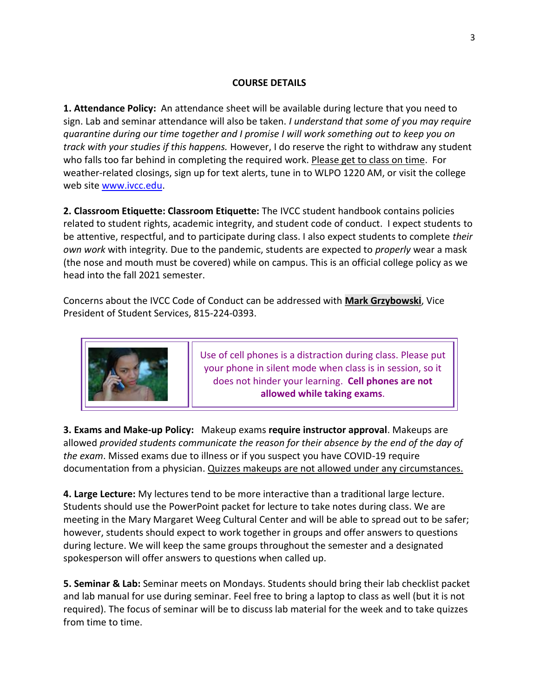### **COURSE DETAILS**

**1. Attendance Policy:** An attendance sheet will be available during lecture that you need to sign. Lab and seminar attendance will also be taken. *I understand that some of you may require quarantine during our time together and I promise I will work something out to keep you on track with your studies if this happens.* However, I do reserve the right to withdraw any student who falls too far behind in completing the required work. Please get to class on time. For weather-related closings, sign up for text alerts, tune in to WLPO 1220 AM, or visit the college web sit[e www.ivcc.edu.](http://www.ivcc.edu/)

**2. Classroom Etiquette: Classroom Etiquette:** The IVCC student handbook contains policies related to student rights, academic integrity, and student code of conduct. I expect students to be attentive, respectful, and to participate during class. I also expect students to complete *their own work* with integrity*.* Due to the pandemic, students are expected to *properly* wear a mask (the nose and mouth must be covered) while on campus. This is an official college policy as we head into the fall 2021 semester.

Concerns about the IVCC Code of Conduct can be addressed with **[Mark Grzybowski](mailto:mark_grzybowski@ivcc.edu)**, Vice President of Student Services, 815-224-0393.



Use of cell phones is a distraction during class. Please put your phone in silent mode when class is in session, so it does not hinder your learning. **Cell phones are not allowed while taking exams**.

**3. Exams and Make-up Policy:** Makeup exams **require instructor approval**. Makeups are allowed *provided students communicate the reason for their absence by the end of the day of the exam*. Missed exams due to illness or if you suspect you have COVID-19 require documentation from a physician. Quizzes makeups are not allowed under any circumstances.

**4. Large Lecture:** My lectures tend to be more interactive than a traditional large lecture. Students should use the PowerPoint packet for lecture to take notes during class. We are meeting in the Mary Margaret Weeg Cultural Center and will be able to spread out to be safer; however, students should expect to work together in groups and offer answers to questions during lecture. We will keep the same groups throughout the semester and a designated spokesperson will offer answers to questions when called up.

**5. Seminar & Lab:** Seminar meets on Mondays. Students should bring their lab checklist packet and lab manual for use during seminar. Feel free to bring a laptop to class as well (but it is not required). The focus of seminar will be to discuss lab material for the week and to take quizzes from time to time.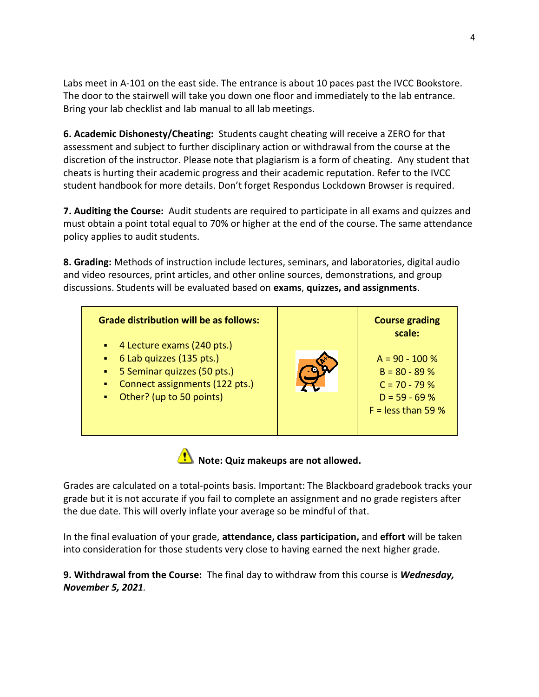Labs meet in A-101 on the east side. The entrance is about 10 paces past the IVCC Bookstore. The door to the stairwell will take you down one floor and immediately to the lab entrance. Bring your lab checklist and lab manual to all lab meetings.

**6. Academic Dishonesty/Cheating:** Students caught cheating will receive a ZERO for that assessment and subject to further disciplinary action or withdrawal from the course at the discretion of the instructor. Please note that plagiarism is a form of cheating. Any student that cheats is hurting their academic progress and their academic reputation. Refer to the IVCC student handbook for more details. Don't forget Respondus Lockdown Browser is required.

**7. Auditing the Course:** Audit students are required to participate in all exams and quizzes and must obtain a point total equal to 70% or higher at the end of the course. The same attendance policy applies to audit students.

**8. Grading:** Methods of instruction include lectures, seminars, and laboratories, digital audio and video resources, print articles, and other online sources, demonstrations, and group discussions. Students will be evaluated based on **exams**, **quizzes, and assignments**.

### **Grade distribution will be as follows:**

- 4 Lecture exams (240 pts.)
- **6 Lab quizzes (135 pts.)**
- 5 Seminar quizzes (50 pts.)
- **Connect assignments (122 pts.)**
- Other? (up to 50 points)





**Note: Quiz makeups are not allowed.** 

Grades are calculated on a total-points basis. Important: The Blackboard gradebook tracks your grade but it is not accurate if you fail to complete an assignment and no grade registers after the due date. This will overly inflate your average so be mindful of that.

In the final evaluation of your grade, **attendance, class participation,** and **effort** will be taken into consideration for those students very close to having earned the next higher grade.

**9. Withdrawal from the Course:** The final day to withdraw from this course is *Wednesday, November 5, 2021.*